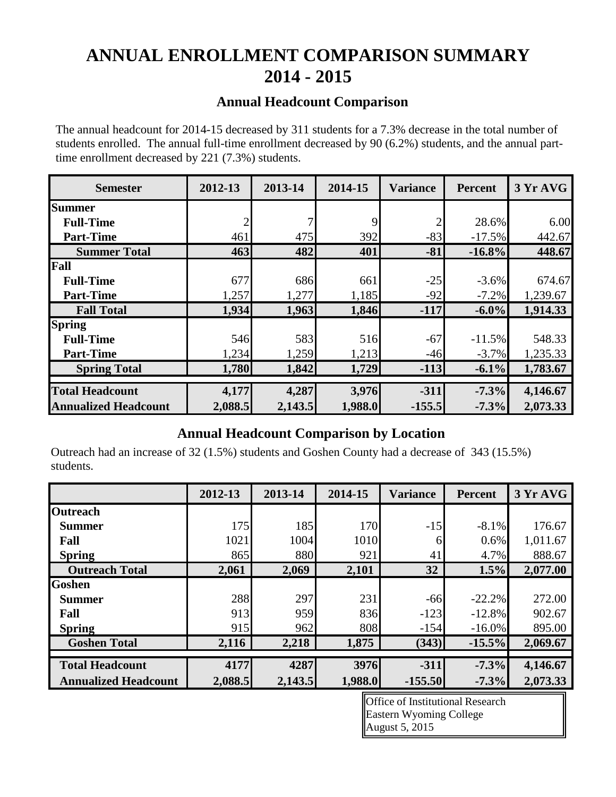# **ANNUAL ENROLLMENT COMPARISON SUMMARY 2014 - 2015**

## **Annual Headcount Comparison**

The annual headcount for 2014-15 decreased by 311 students for a 7.3% decrease in the total number of students enrolled. The annual full-time enrollment decreased by 90 (6.2%) students, and the annual parttime enrollment decreased by 221 (7.3%) students.

| <b>Semester</b>             | 2012-13 | 2013-14 | 2014-15 | <b>Variance</b> | <b>Percent</b> | 3 Yr AVG |
|-----------------------------|---------|---------|---------|-----------------|----------------|----------|
| <b>Summer</b>               |         |         |         |                 |                |          |
| <b>Full-Time</b>            | 2       |         | 9       |                 | 28.6%          | 6.00     |
| <b>Part-Time</b>            | 461     | 475     | 392     | $-83$           | $-17.5%$       | 442.67   |
| <b>Summer Total</b>         | 463     | 482     | 401     | $-81$           | $-16.8\%$      | 448.67   |
| Fall                        |         |         |         |                 |                |          |
| <b>Full-Time</b>            | 677     | 686     | 661     | $-25$           | $-3.6%$        | 674.67   |
| <b>Part-Time</b>            | 1,257   | 1,277   | 1,185   | $-92$           | $-7.2%$        | 1,239.67 |
| <b>Fall Total</b>           | 1,934   | 1,963   | 1,846   | $-117$          | $-6.0\%$       | 1,914.33 |
| <b>Spring</b>               |         |         |         |                 |                |          |
| <b>Full-Time</b>            | 546     | 583     | 516     | $-67$           | $-11.5%$       | 548.33   |
| <b>Part-Time</b>            | 1,234   | 1,259   | 1,213   | $-46$           | $-3.7\%$       | 1,235.33 |
| <b>Spring Total</b>         | 1,780   | 1,842   | 1,729   | $-113$          | $-6.1\%$       | 1,783.67 |
|                             |         |         |         |                 |                |          |
| <b>Total Headcount</b>      | 4,177   | 4,287   | 3,976   | $-311$          | $-7.3%$        | 4,146.67 |
| <b>Annualized Headcount</b> | 2,088.5 | 2,143.5 | 1,988.0 | $-155.5$        | $-7.3%$        | 2,073.33 |

### **Annual Headcount Comparison by Location**

Outreach had an increase of 32 (1.5%) students and Goshen County had a decrease of 343 (15.5%) students.

|                             | 2012-13 | 2013-14 | 2014-15 | <b>Variance</b> | <b>Percent</b> | 3 Yr AVG |
|-----------------------------|---------|---------|---------|-----------------|----------------|----------|
| <b>Outreach</b>             |         |         |         |                 |                |          |
| <b>Summer</b>               | 175     | 185     | 170     | $-15$           | $-8.1\%$       | 176.67   |
| Fall                        | 1021    | 1004    | 1010    | 6               | 0.6%           | 1,011.67 |
| <b>Spring</b>               | 865     | 880     | 921     | 41              | 4.7%           | 888.67   |
| <b>Outreach Total</b>       | 2,061   | 2,069   | 2,101   | 32              | 1.5%           | 2,077.00 |
| <b>Goshen</b>               |         |         |         |                 |                |          |
| <b>Summer</b>               | 288     | 297     | 231     | $-66$           | $-22.2\%$      | 272.00   |
| Fall                        | 913     | 959     | 836     | $-123$          | $-12.8%$       | 902.67   |
| <b>Spring</b>               | 915     | 962     | 808     | $-154$          | $-16.0\%$      | 895.00   |
| <b>Goshen Total</b>         | 2,116   | 2,218   | 1,875   | (343)           | $-15.5%$       | 2,069.67 |
| <b>Total Headcount</b>      | 4177    | 4287    | 3976    | $-311$          | $-7.3%$        | 4,146.67 |
| <b>Annualized Headcount</b> | 2,088.5 | 2,143.5 | 1,988.0 | $-155.50$       | $-7.3%$        | 2,073.33 |

Office of Institutional Research Eastern Wyoming College August 5, 2015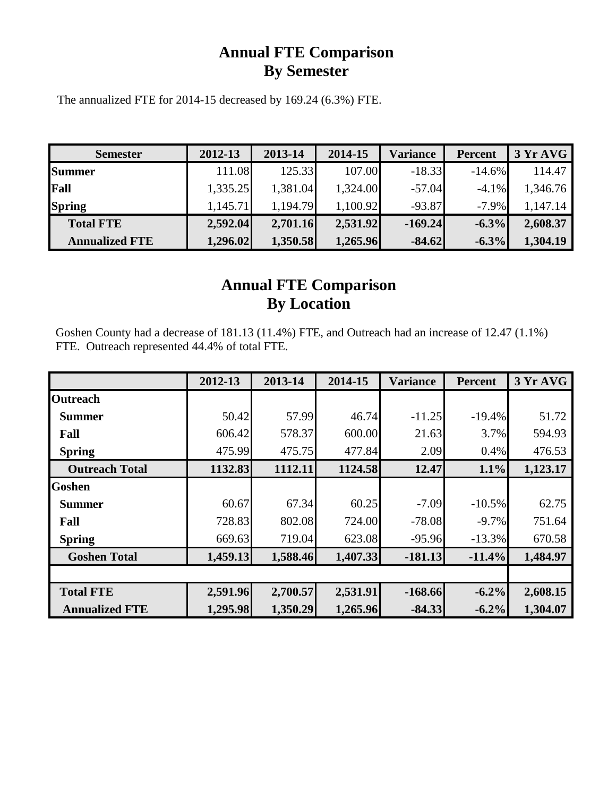## **Annual FTE Comparison By Semester**

The annualized FTE for 2014-15 decreased by 169.24 (6.3%) FTE.

| <b>Semester</b>       | 2012-13  | 2013-14  | 2014-15  | <b>Variance</b> | <b>Percent</b> | 3 Yr AVG |
|-----------------------|----------|----------|----------|-----------------|----------------|----------|
| <b>Summer</b>         | 111.08   | 125.33   | 107.00   | $-18.33$        | $-14.6\%$      | 114.47   |
| Fall                  | 1,335.25 | 1,381.04 | 1,324.00 | $-57.04$        | $-4.1\%$       | 1,346.76 |
| <b>Spring</b>         | 1,145.71 | 1,194.79 | 1,100.92 | $-93.87$        | $-7.9\%$       | .147.14  |
| <b>Total FTE</b>      | 2,592.04 | 2,701.16 | 2,531.92 | $-169.24$       | $-6.3%$        | 2,608.37 |
| <b>Annualized FTE</b> | 1,296.02 | 1,350.58 | 1,265.96 | $-84.62$        | $-6.3%$        | 1,304.19 |

## **Annual FTE Comparison By Location**

Goshen County had a decrease of 181.13 (11.4%) FTE, and Outreach had an increase of 12.47 (1.1%) FTE. Outreach represented 44.4% of total FTE.

|                       | 2012-13  | 2013-14  | 2014-15  | <b>Variance</b> | <b>Percent</b> | 3 Yr AVG |
|-----------------------|----------|----------|----------|-----------------|----------------|----------|
| <b>Outreach</b>       |          |          |          |                 |                |          |
| <b>Summer</b>         | 50.42    | 57.99    | 46.74    | $-11.25$        | $-19.4%$       | 51.72    |
| Fall                  | 606.42   | 578.37   | 600.00   | 21.63           | 3.7%           | 594.93   |
| <b>Spring</b>         | 475.99   | 475.75   | 477.84   | 2.09            | 0.4%           | 476.53   |
| <b>Outreach Total</b> | 1132.83  | 1112.11  | 1124.58  | 12.47           | 1.1%           | 1,123.17 |
| <b>Goshen</b>         |          |          |          |                 |                |          |
| <b>Summer</b>         | 60.67    | 67.34    | 60.25    | $-7.09$         | $-10.5\%$      | 62.75    |
| Fall                  | 728.83   | 802.08   | 724.00   | $-78.08$        | $-9.7\%$       | 751.64   |
| <b>Spring</b>         | 669.63   | 719.04   | 623.08   | $-95.96$        | $-13.3%$       | 670.58   |
| <b>Goshen Total</b>   | 1,459.13 | 1,588.46 | 1,407.33 | $-181.13$       | $-11.4%$       | 1,484.97 |
|                       |          |          |          |                 |                |          |
| <b>Total FTE</b>      | 2,591.96 | 2,700.57 | 2,531.91 | $-168.66$       | $-6.2%$        | 2,608.15 |
| <b>Annualized FTE</b> | 1,295.98 | 1,350.29 | 1,265.96 | $-84.33$        | $-6.2\%$       | 1,304.07 |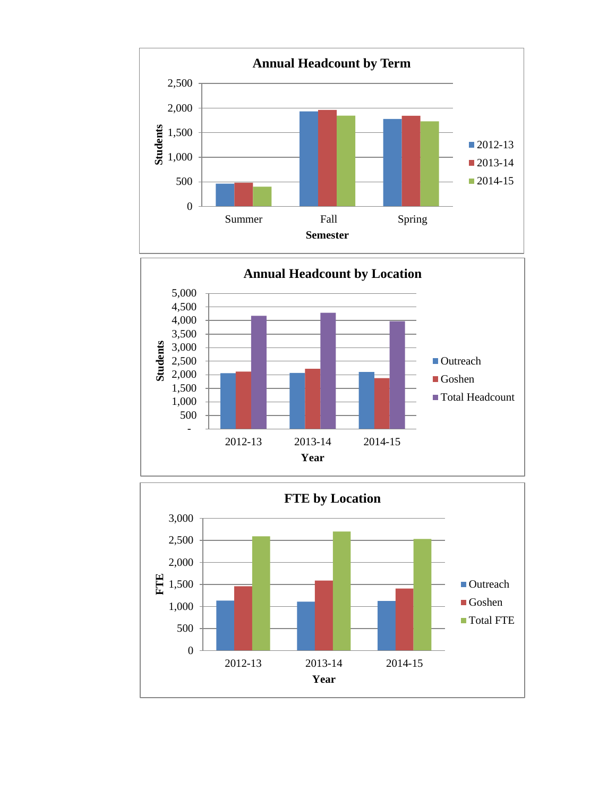



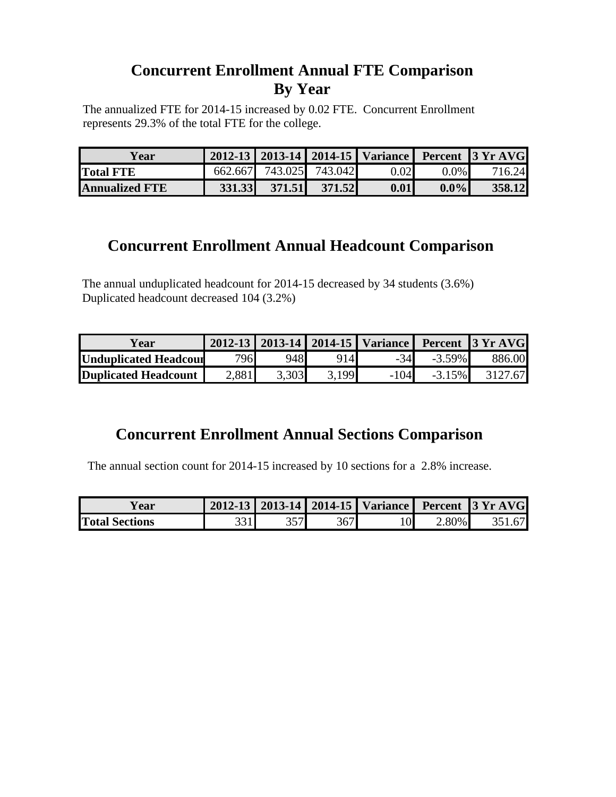## **Concurrent Enrollment Annual FTE Comparison By Year**

The annualized FTE for 2014-15 increased by 0.02 FTE. Concurrent Enrollment represents 29.3% of the total FTE for the college.

| Year                  |  |                         |      |         | 2012-13   2013-14   2014-15   Variance   Percent   3 Yr AVG |
|-----------------------|--|-------------------------|------|---------|-------------------------------------------------------------|
| <b>Total FTE</b>      |  | 662.667 743.025 743.042 | 0.02 | $0.0\%$ | 716.24                                                      |
| <b>Annualized FTE</b> |  | 331.33 371.51 371.52    | 0.01 | $0.0\%$ | 358.12                                                      |

## **Concurrent Enrollment Annual Headcount Comparison**

The annual unduplicated headcount for 2014-15 decreased by 34 students (3.6%) Duplicated headcount decreased 104 (3.2%)

| lear ⁄                |       |       |                |        |           | 2012-13   2013-14   2014-15   Variance   Percent   3 Yr AVG |
|-----------------------|-------|-------|----------------|--------|-----------|-------------------------------------------------------------|
| Unduplicated Headcour | 796   | 948   | 9141           | $-34$  | $-3.59\%$ | 886.00                                                      |
| Duplicated Headcount  | 2,881 | 3.303 | 3.199 <b>1</b> | $-104$ | $-3.15\%$ |                                                             |

## **Concurrent Enrollment Annual Sections Comparison**

The annual section count for 2014-15 increased by 10 sections for a 2.8% increase.

| ear                   |  |  |          | 2012-13   2013-14   2014-15   Variance   Percent   3 Yr AVG |
|-----------------------|--|--|----------|-------------------------------------------------------------|
| <b>Total Sections</b> |  |  | $2.80\%$ |                                                             |